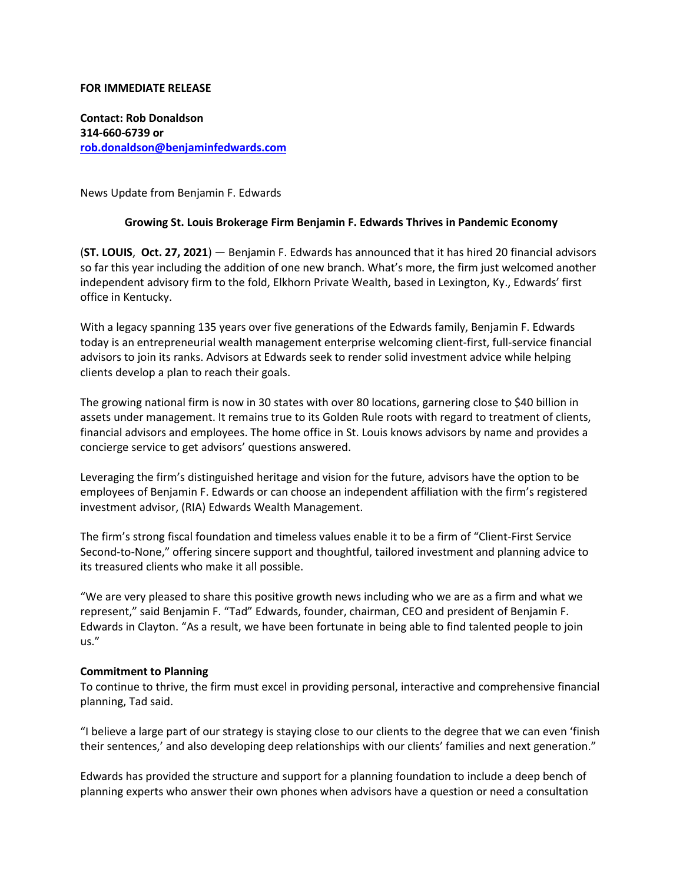### **FOR IMMEDIATE RELEASE**

**Contact: Rob Donaldson 314-660-6739 or [rob.donaldson@benjaminfedwards.com](mailto:rob.donaldson@benjaminfedwards.com)**

News Update from Benjamin F. Edwards

## **Growing St. Louis Brokerage Firm Benjamin F. Edwards Thrives in Pandemic Economy**

(**ST. LOUIS**, **Oct. 27, 2021**) — Benjamin F. Edwards has announced that it has hired 20 financial advisors so far this year including the addition of one new branch. What's more, the firm just welcomed another independent advisory firm to the fold, Elkhorn Private Wealth, based in Lexington, Ky., Edwards' first office in Kentucky.

With a legacy spanning 135 years over five generations of the Edwards family, Benjamin F. Edwards today is an entrepreneurial wealth management enterprise welcoming client-first, full-service financial advisors to join its ranks. Advisors at Edwards seek to render solid investment advice while helping clients develop a plan to reach their goals.

The growing national firm is now in 30 states with over 80 locations, garnering close to \$40 billion in assets under management. It remains true to its Golden Rule roots with regard to treatment of clients, financial advisors and employees. The home office in St. Louis knows advisors by name and provides a concierge service to get advisors' questions answered.

Leveraging the firm's distinguished heritage and vision for the future, advisors have the option to be employees of Benjamin F. Edwards or can choose an independent affiliation with the firm's registered investment advisor, (RIA) Edwards Wealth Management.

The firm's strong fiscal foundation and timeless values enable it to be a firm of "Client-First Service Second-to-None," offering sincere support and thoughtful, tailored investment and planning advice to its treasured clients who make it all possible.

"We are very pleased to share this positive growth news including who we are as a firm and what we represent," said Benjamin F. "Tad" Edwards, founder, chairman, CEO and president of Benjamin F. Edwards in Clayton. "As a result, we have been fortunate in being able to find talented people to join us."

### **Commitment to Planning**

To continue to thrive, the firm must excel in providing personal, interactive and comprehensive financial planning, Tad said.

"I believe a large part of our strategy is staying close to our clients to the degree that we can even 'finish their sentences,' and also developing deep relationships with our clients' families and next generation."

Edwards has provided the structure and support for a planning foundation to include a deep bench of planning experts who answer their own phones when advisors have a question or need a consultation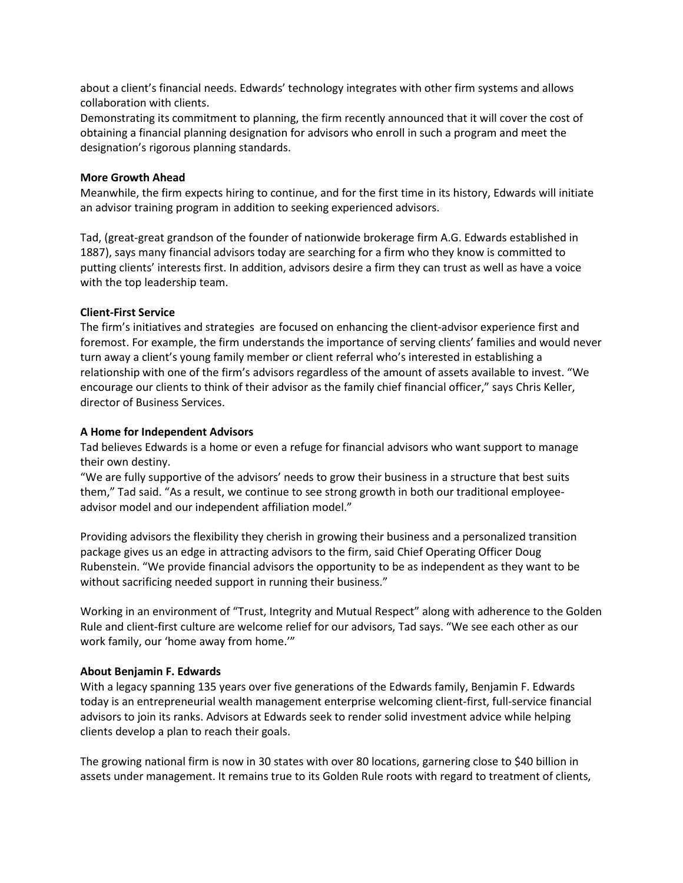about a client's financial needs. Edwards' technology integrates with other firm systems and allows collaboration with clients.

Demonstrating its commitment to planning, the firm recently announced that it will cover the cost of obtaining a financial planning designation for advisors who enroll in such a program and meet the designation's rigorous planning standards.

## **More Growth Ahead**

Meanwhile, the firm expects hiring to continue, and for the first time in its history, Edwards will initiate an advisor training program in addition to seeking experienced advisors.

Tad, (great-great grandson of the founder of nationwide brokerage firm A.G. Edwards established in 1887), says many financial advisors today are searching for a firm who they know is committed to putting clients' interests first. In addition, advisors desire a firm they can trust as well as have a voice with the top leadership team.

# **Client-First Service**

The firm's initiatives and strategies are focused on enhancing the client-advisor experience first and foremost. For example, the firm understands the importance of serving clients' families and would never turn away a client's young family member or client referral who's interested in establishing a relationship with one of the firm's advisors regardless of the amount of assets available to invest. "We encourage our clients to think of their advisor as the family chief financial officer," says Chris Keller, director of Business Services.

## **A Home for Independent Advisors**

Tad believes Edwards is a home or even a refuge for financial advisors who want support to manage their own destiny.

"We are fully supportive of the advisors' needs to grow their business in a structure that best suits them," Tad said. "As a result, we continue to see strong growth in both our traditional employeeadvisor model and our independent affiliation model."

Providing advisors the flexibility they cherish in growing their business and a personalized transition package gives us an edge in attracting advisors to the firm, said Chief Operating Officer Doug Rubenstein. "We provide financial advisors the opportunity to be as independent as they want to be without sacrificing needed support in running their business."

Working in an environment of "Trust, Integrity and Mutual Respect" along with adherence to the Golden Rule and client-first culture are welcome relief for our advisors, Tad says. "We see each other as our work family, our 'home away from home.'"

# **About Benjamin F. Edwards**

With a legacy spanning 135 years over five generations of the Edwards family, Benjamin F. Edwards today is an entrepreneurial wealth management enterprise welcoming client-first, full-service financial advisors to join its ranks. Advisors at Edwards seek to render solid investment advice while helping clients develop a plan to reach their goals.

The growing national firm is now in 30 states with over 80 locations, garnering close to \$40 billion in assets under management. It remains true to its Golden Rule roots with regard to treatment of clients,